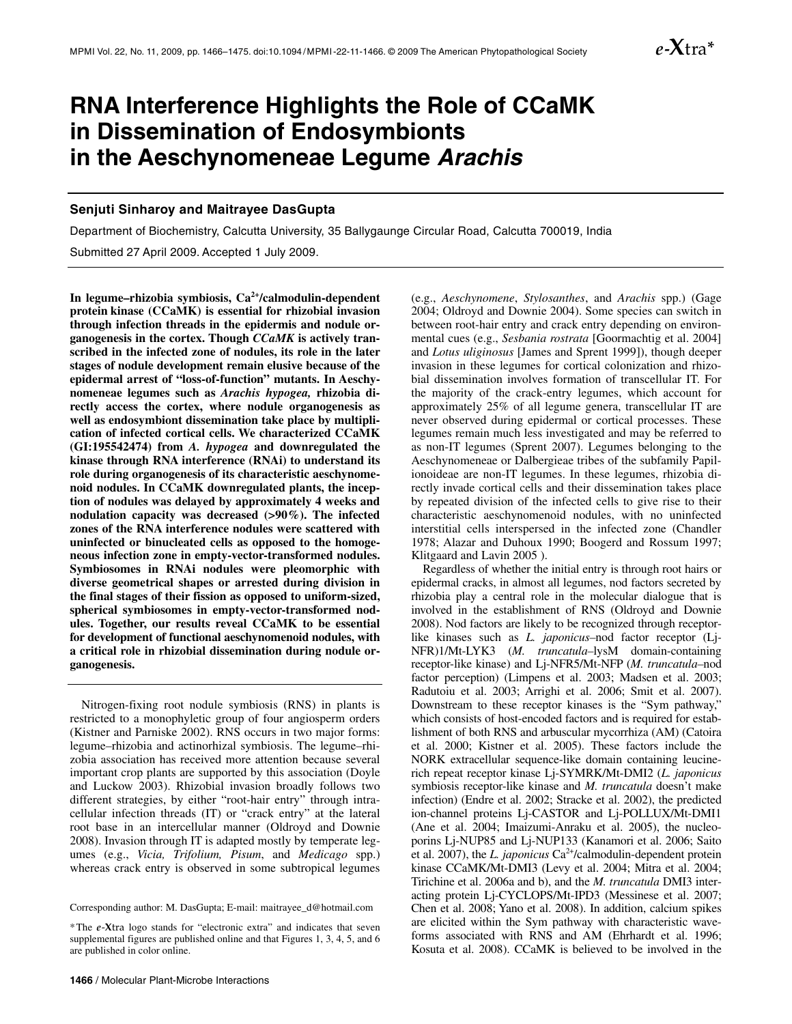

# **RNA Interference Highlights the Role of CCaMK in Dissemination of Endosymbionts in the Aeschynomeneae Legume** *Arachis*

#### **Senjuti Sinharoy and Maitrayee DasGupta**

Department of Biochemistry, Calcutta University, 35 Ballygaunge Circular Road, Calcutta 700019, India Submitted 27 April 2009. Accepted 1 July 2009.

**In legume–rhizobia symbiosis, Ca2+/calmodulin-dependent protein kinase (CCaMK) is essential for rhizobial invasion through infection threads in the epidermis and nodule organogenesis in the cortex. Though** *CCaMK* **is actively transcribed in the infected zone of nodules, its role in the later stages of nodule development remain elusive because of the epidermal arrest of "loss-of-function" mutants. In Aeschynomeneae legumes such as** *Arachis hypogea,* **rhizobia directly access the cortex, where nodule organogenesis as well as endosymbiont dissemination take place by multiplication of infected cortical cells. We characterized CCaMK (GI:195542474) from** *A. hypogea* **and downregulated the kinase through RNA interference (RNAi) to understand its role during organogenesis of its characteristic aeschynomenoid nodules. In CCaMK downregulated plants, the inception of nodules was delayed by approximately 4 weeks and nodulation capacity was decreased (>90%). The infected zones of the RNA interference nodules were scattered with uninfected or binucleated cells as opposed to the homogeneous infection zone in empty-vector-transformed nodules. Symbiosomes in RNAi nodules were pleomorphic with diverse geometrical shapes or arrested during division in the final stages of their fission as opposed to uniform-sized, spherical symbiosomes in empty-vector-transformed nodules. Together, our results reveal CCaMK to be essential for development of functional aeschynomenoid nodules, with a critical role in rhizobial dissemination during nodule organogenesis.** 

Nitrogen-fixing root nodule symbiosis (RNS) in plants is restricted to a monophyletic group of four angiosperm orders (Kistner and Parniske 2002). RNS occurs in two major forms: legume–rhizobia and actinorhizal symbiosis. The legume–rhizobia association has received more attention because several important crop plants are supported by this association (Doyle and Luckow 2003). Rhizobial invasion broadly follows two different strategies, by either "root-hair entry" through intracellular infection threads (IT) or "crack entry" at the lateral root base in an intercellular manner (Oldroyd and Downie 2008). Invasion through IT is adapted mostly by temperate legumes (e.g., *Vicia, Trifolium, Pisum*, and *Medicago* spp.) whereas crack entry is observed in some subtropical legumes

Corresponding author: M. DasGupta; E-mail: maitrayee\_d@hotmail.com

(e.g., *Aeschynomene*, *Stylosanthes*, and *Arachis* spp.) (Gage 2004; Oldroyd and Downie 2004). Some species can switch in between root-hair entry and crack entry depending on environmental cues (e.g., *Sesbania rostrata* [Goormachtig et al. 2004] and *Lotus uliginosus* [James and Sprent 1999]), though deeper invasion in these legumes for cortical colonization and rhizobial dissemination involves formation of transcellular IT. For the majority of the crack-entry legumes, which account for approximately 25% of all legume genera, transcellular IT are never observed during epidermal or cortical processes. These legumes remain much less investigated and may be referred to as non-IT legumes (Sprent 2007). Legumes belonging to the Aeschynomeneae or Dalbergieae tribes of the subfamily Papilionoideae are non-IT legumes. In these legumes, rhizobia directly invade cortical cells and their dissemination takes place by repeated division of the infected cells to give rise to their characteristic aeschynomenoid nodules, with no uninfected interstitial cells interspersed in the infected zone (Chandler 1978; Alazar and Duhoux 1990; Boogerd and Rossum 1997; Klitgaard and Lavin 2005 ).

Regardless of whether the initial entry is through root hairs or epidermal cracks, in almost all legumes, nod factors secreted by rhizobia play a central role in the molecular dialogue that is involved in the establishment of RNS (Oldroyd and Downie 2008). Nod factors are likely to be recognized through receptorlike kinases such as *L. japonicus–*nod factor receptor (Lj*-*NFR)1/Mt-LYK3 (*M. truncatula–*lysM domain-containing receptor-like kinase) and Lj-NFR5/Mt-NFP (*M. truncatula–*nod factor perception) (Limpens et al. 2003; Madsen et al. 2003; Radutoiu et al. 2003; Arrighi et al. 2006; Smit et al. 2007). Downstream to these receptor kinases is the "Sym pathway," which consists of host-encoded factors and is required for establishment of both RNS and arbuscular mycorrhiza (AM) (Catoira et al. 2000; Kistner et al. 2005). These factors include the NORK extracellular sequence-like domain containing leucinerich repeat receptor kinase Lj-SYMRK/Mt-DMI2 (*L. japonicus*  symbiosis receptor-like kinase and *M. truncatula* doesn't make infection) (Endre et al. 2002; Stracke et al. 2002), the predicted ion-channel proteins Lj-CASTOR and Lj-POLLUX/Mt-DMI1 (Ane et al. 2004; Imaizumi-Anraku et al. 2005), the nucleoporins Lj-NUP85 and Lj-NUP133 (Kanamori et al. 2006; Saito et al. 2007), the *L. japonicus* Ca<sup>2+</sup>/calmodulin-dependent protein kinase CCaMK/Mt-DMI3 (Levy et al. 2004; Mitra et al. 2004; Tirichine et al. 2006a and b), and the *M. truncatula* DMI3 interacting protein Lj-CYCLOPS/Mt-IPD3 (Messinese et al. 2007; Chen et al. 2008; Yano et al. 2008). In addition, calcium spikes are elicited within the Sym pathway with characteristic waveforms associated with RNS and AM (Ehrhardt et al. 1996; Kosuta et al. 2008). CCaMK is believed to be involved in the

<sup>\*</sup>The *e*-**X**tra logo stands for "electronic extra" and indicates that seven supplemental figures are published online and that Figures 1, 3, 4, 5, and 6 are published in color online.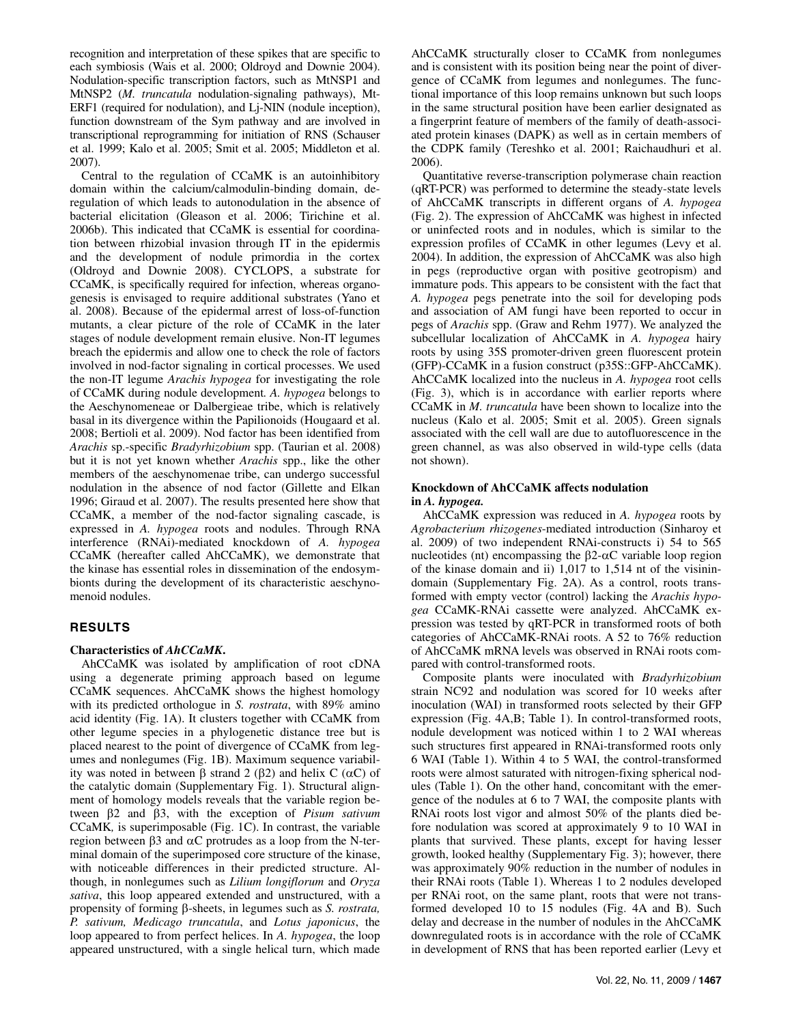recognition and interpretation of these spikes that are specific to each symbiosis (Wais et al. 2000; Oldroyd and Downie 2004). Nodulation-specific transcription factors, such as MtNSP1 and MtNSP2 (*M. truncatula* nodulation-signaling pathways), Mt-ERF1 (required for nodulation), and Lj-NIN (nodule inception), function downstream of the Sym pathway and are involved in transcriptional reprogramming for initiation of RNS (Schauser et al. 1999; Kalo et al. 2005; Smit et al. 2005; Middleton et al. 2007).

Central to the regulation of CCaMK is an autoinhibitory domain within the calcium/calmodulin-binding domain, deregulation of which leads to autonodulation in the absence of bacterial elicitation (Gleason et al. 2006; Tirichine et al. 2006b). This indicated that CCaMK is essential for coordination between rhizobial invasion through IT in the epidermis and the development of nodule primordia in the cortex (Oldroyd and Downie 2008). CYCLOPS, a substrate for CCaMK, is specifically required for infection, whereas organogenesis is envisaged to require additional substrates (Yano et al. 2008). Because of the epidermal arrest of loss-of-function mutants, a clear picture of the role of CCaMK in the later stages of nodule development remain elusive. Non-IT legumes breach the epidermis and allow one to check the role of factors involved in nod-factor signaling in cortical processes. We used the non-IT legume *Arachis hypogea* for investigating the role of CCaMK during nodule development*. A. hypogea* belongs to the Aeschynomeneae or Dalbergieae tribe, which is relatively basal in its divergence within the Papilionoids (Hougaard et al. 2008; Bertioli et al. 2009). Nod factor has been identified from *Arachis* sp.-specific *Bradyrhizobium* spp. (Taurian et al. 2008) but it is not yet known whether *Arachis* spp., like the other members of the aeschynomenae tribe, can undergo successful nodulation in the absence of nod factor (Gillette and Elkan 1996; Giraud et al. 2007). The results presented here show that CCaMK, a member of the nod-factor signaling cascade, is expressed in *A. hypogea* roots and nodules. Through RNA interference (RNAi)-mediated knockdown of *A. hypogea* CCaMK (hereafter called AhCCaMK), we demonstrate that the kinase has essential roles in dissemination of the endosymbionts during the development of its characteristic aeschynomenoid nodules.

## **RESULTS**

#### **Characteristics of** *AhCCaMK***.**

AhCCaMK was isolated by amplification of root cDNA using a degenerate priming approach based on legume CCaMK sequences. AhCCaMK shows the highest homology with its predicted orthologue in *S. rostrata*, with 89% amino acid identity (Fig. 1A). It clusters together with CCaMK from other legume species in a phylogenetic distance tree but is placed nearest to the point of divergence of CCaMK from legumes and nonlegumes (Fig. 1B). Maximum sequence variability was noted in between β strand 2 (β2) and helix C (αC) of the catalytic domain (Supplementary Fig. 1). Structural alignment of homology models reveals that the variable region between β2 and β3, with the exception of *Pisum sativum*  CCaMK*,* is superimposable (Fig. 1C). In contrast, the variable region between β3 and αC protrudes as a loop from the N-terminal domain of the superimposed core structure of the kinase, with noticeable differences in their predicted structure. Although, in nonlegumes such as *Lilium longiflorum* and *Oryza sativa*, this loop appeared extended and unstructured, with a propensity of forming β-sheets, in legumes such as *S. rostrata, P. sativum, Medicago truncatula*, and *Lotus japonicus*, the loop appeared to from perfect helices. In *A. hypogea*, the loop appeared unstructured, with a single helical turn, which made

AhCCaMK structurally closer to CCaMK from nonlegumes and is consistent with its position being near the point of divergence of CCaMK from legumes and nonlegumes. The functional importance of this loop remains unknown but such loops in the same structural position have been earlier designated as a fingerprint feature of members of the family of death-associated protein kinases (DAPK) as well as in certain members of the CDPK family (Tereshko et al. 2001; Raichaudhuri et al. 2006).

Quantitative reverse-transcription polymerase chain reaction (qRT-PCR) was performed to determine the steady-state levels of AhCCaMK transcripts in different organs of *A. hypogea*  (Fig. 2). The expression of AhCCaMK was highest in infected or uninfected roots and in nodules, which is similar to the expression profiles of CCaMK in other legumes (Levy et al. 2004). In addition, the expression of AhCCaMK was also high in pegs (reproductive organ with positive geotropism) and immature pods. This appears to be consistent with the fact that *A. hypogea* pegs penetrate into the soil for developing pods and association of AM fungi have been reported to occur in pegs of *Arachis* spp. (Graw and Rehm 1977). We analyzed the subcellular localization of AhCCaMK in *A. hypogea* hairy roots by using 35S promoter-driven green fluorescent protein (GFP)-CCaMK in a fusion construct (p35S::GFP-AhCCaMK). AhCCaMK localized into the nucleus in *A. hypogea* root cells (Fig. 3), which is in accordance with earlier reports where CCaMK in *M. truncatula* have been shown to localize into the nucleus (Kalo et al. 2005; Smit et al. 2005). Green signals associated with the cell wall are due to autofluorescence in the green channel, as was also observed in wild-type cells (data not shown).

#### **Knockdown of AhCCaMK affects nodulation in** *A. hypogea.*

AhCCaMK expression was reduced in *A. hypogea* roots by *Agrobacterium rhizogenes*-mediated introduction (Sinharoy et al. 2009) of two independent RNAi-constructs i) 54 to 565 nucleotides (nt) encompassing the β2- $\alpha$ C variable loop region of the kinase domain and ii) 1,017 to 1,514 nt of the visinindomain (Supplementary Fig. 2A). As a control, roots transformed with empty vector (control) lacking the *Arachis hypogea* CCaMK-RNAi cassette were analyzed. AhCCaMK expression was tested by qRT-PCR in transformed roots of both categories of AhCCaMK-RNAi roots. A 52 to 76% reduction of AhCCaMK mRNA levels was observed in RNAi roots compared with control-transformed roots.

Composite plants were inoculated with *Bradyrhizobium*  strain NC92 and nodulation was scored for 10 weeks after inoculation (WAI) in transformed roots selected by their GFP expression (Fig. 4A,B; Table 1). In control-transformed roots, nodule development was noticed within 1 to 2 WAI whereas such structures first appeared in RNAi-transformed roots only 6 WAI (Table 1). Within 4 to 5 WAI, the control-transformed roots were almost saturated with nitrogen-fixing spherical nodules (Table 1). On the other hand, concomitant with the emergence of the nodules at 6 to 7 WAI, the composite plants with RNAi roots lost vigor and almost 50% of the plants died before nodulation was scored at approximately 9 to 10 WAI in plants that survived. These plants, except for having lesser growth, looked healthy (Supplementary Fig. 3); however, there was approximately 90% reduction in the number of nodules in their RNAi roots (Table 1). Whereas 1 to 2 nodules developed per RNAi root, on the same plant, roots that were not transformed developed 10 to 15 nodules (Fig. 4A and B). Such delay and decrease in the number of nodules in the AhCCaMK downregulated roots is in accordance with the role of CCaMK in development of RNS that has been reported earlier (Levy et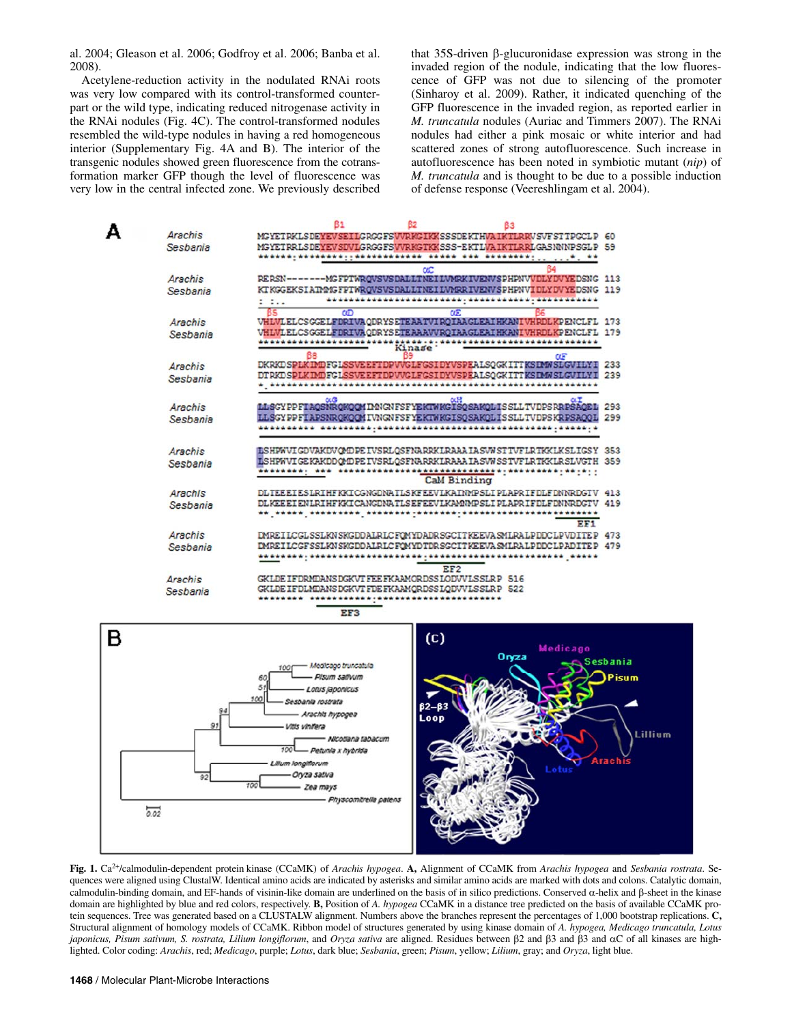al. 2004; Gleason et al. 2006; Godfroy et al. 2006; Banba et al. 2008).

Acetylene-reduction activity in the nodulated RNAi roots was very low compared with its control-transformed counterpart or the wild type, indicating reduced nitrogenase activity in the RNAi nodules (Fig. 4C). The control-transformed nodules resembled the wild-type nodules in having a red homogeneous interior (Supplementary Fig. 4A and B). The interior of the transgenic nodules showed green fluorescence from the cotransformation marker GFP though the level of fluorescence was very low in the central infected zone. We previously described that 35S-driven β-glucuronidase expression was strong in the invaded region of the nodule, indicating that the low fluorescence of GFP was not due to silencing of the promoter (Sinharoy et al. 2009). Rather, it indicated quenching of the GFP fluorescence in the invaded region, as reported earlier in *M. truncatula* nodules (Auriac and Timmers 2007). The RNAi nodules had either a pink mosaic or white interior and had scattered zones of strong autofluorescence. Such increase in autofluorescence has been noted in symbiotic mutant (*nip*) of *M. truncatula* and is thought to be due to a possible induction of defense response (Veereshlingam et al. 2004).



**Fig. 1.** Ca2+/calmodulin-dependent protein kinase (CCaMK) of *Arachis hypogea*. **A,** Alignment of CCaMK from *Arachis hypogea* and *Sesbania rostrata*. Sequences were aligned using ClustalW. Identical amino acids are indicated by asterisks and similar amino acids are marked with dots and colons. Catalytic domain, calmodulin-binding domain, and EF-hands of visinin-like domain are underlined on the basis of in silico predictions. Conserved α-helix and β-sheet in the kinase domain are highlighted by blue and red colors, respectively. **B,** Position of *A. hypogea* CCaMK in a distance tree predicted on the basis of available CCaMK protein sequences. Tree was generated based on a CLUSTALW alignment. Numbers above the branches represent the percentages of 1,000 bootstrap replications. **C,**  Structural alignment of homology models of CCaMK. Ribbon model of structures generated by using kinase domain of *A. hypogea, Medicago truncatula, Lotus japonicus, Pisum sativum, S. rostrata, Lilium longiflorum*, and *Oryza sativa* are aligned. Residues between β2 and β3 and β3 and αC of all kinases are highlighted. Color coding: *Arachis*, red; *Medicago*, purple; *Lotus*, dark blue; *Sesbania*, green; *Pisum*, yellow; *Lilium*, gray; and *Oryza*, light blue.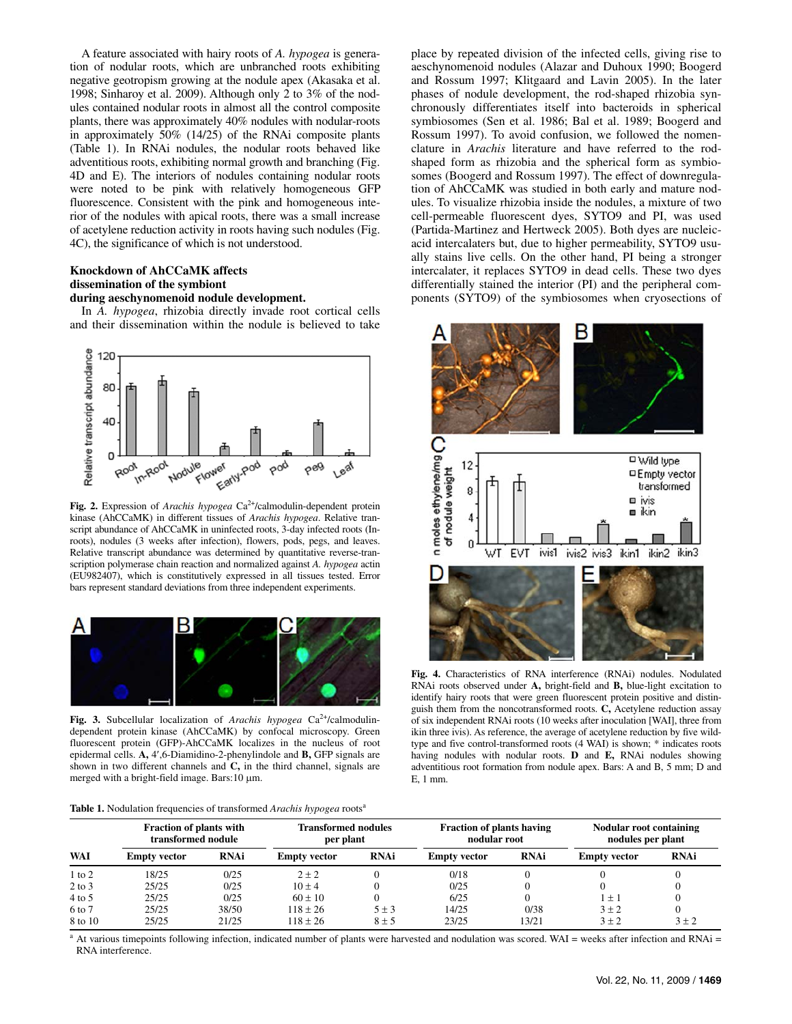A feature associated with hairy roots of *A. hypogea* is generation of nodular roots, which are unbranched roots exhibiting negative geotropism growing at the nodule apex (Akasaka et al. 1998; Sinharoy et al. 2009). Although only 2 to 3% of the nodules contained nodular roots in almost all the control composite plants, there was approximately 40% nodules with nodular-roots in approximately 50% (14/25) of the RNAi composite plants (Table 1). In RNAi nodules, the nodular roots behaved like adventitious roots, exhibiting normal growth and branching (Fig. 4D and E). The interiors of nodules containing nodular roots were noted to be pink with relatively homogeneous GFP fluorescence. Consistent with the pink and homogeneous interior of the nodules with apical roots, there was a small increase of acetylene reduction activity in roots having such nodules (Fig. 4C), the significance of which is not understood.

## **Knockdown of AhCCaMK affects dissemination of the symbiont**

#### **during aeschynomenoid nodule development.**

In *A. hypogea*, rhizobia directly invade root cortical cells and their dissemination within the nodule is believed to take



Fig. 2. Expression of *Arachis hypogea* Ca<sup>2+</sup>/calmodulin-dependent protein kinase (AhCCaMK) in different tissues of *Arachis hypogea*. Relative transcript abundance of AhCCaMK in uninfected roots, 3-day infected roots (Inroots), nodules (3 weeks after infection), flowers, pods, pegs, and leaves. Relative transcript abundance was determined by quantitative reverse-transcription polymerase chain reaction and normalized against *A. hypogea* actin (EU982407), which is constitutively expressed in all tissues tested. Error bars represent standard deviations from three independent experiments.



**Fig. 3.** Subcellular localization of *Arachis hypogea* Ca<sup>2+</sup>/calmodulindependent protein kinase (AhCCaMK) by confocal microscopy. Green fluorescent protein (GFP)-AhCCaMK localizes in the nucleus of root epidermal cells. **A,** 4′,6-Diamidino-2-phenylindole and **B,** GFP signals are shown in two different channels and **C,** in the third channel, signals are merged with a bright-field image. Bars:10 μm.

|  | Table 1. Nodulation frequencies of transformed Arachis hypogea roots <sup>a</sup> |  |
|--|-----------------------------------------------------------------------------------|--|
|  |                                                                                   |  |

place by repeated division of the infected cells, giving rise to aeschynomenoid nodules (Alazar and Duhoux 1990; Boogerd and Rossum 1997; Klitgaard and Lavin 2005). In the later phases of nodule development, the rod-shaped rhizobia synchronously differentiates itself into bacteroids in spherical symbiosomes (Sen et al. 1986; Bal et al. 1989; Boogerd and Rossum 1997). To avoid confusion, we followed the nomenclature in *Arachis* literature and have referred to the rodshaped form as rhizobia and the spherical form as symbiosomes (Boogerd and Rossum 1997). The effect of downregulation of AhCCaMK was studied in both early and mature nodules. To visualize rhizobia inside the nodules, a mixture of two cell-permeable fluorescent dyes, SYTO9 and PI, was used (Partida-Martinez and Hertweck 2005). Both dyes are nucleicacid intercalaters but, due to higher permeability, SYTO9 usually stains live cells. On the other hand, PI being a stronger intercalater, it replaces SYTO9 in dead cells. These two dyes differentially stained the interior (PI) and the peripheral components (SYTO9) of the symbiosomes when cryosections of



**Fig. 4.** Characteristics of RNA interference (RNAi) nodules. Nodulated RNAi roots observed under **A,** bright-field and **B,** blue-light excitation to identify hairy roots that were green fluorescent protein positive and distinguish them from the noncotransformed roots. **C,** Acetylene reduction assay of six independent RNAi roots (10 weeks after inoculation [WAI], three from ikin three ivis). As reference, the average of acetylene reduction by five wildtype and five control-transformed roots (4 WAI) is shown; \* indicates roots having nodules with nodular roots. **D** and **E,** RNAi nodules showing adventitious root formation from nodule apex. Bars: A and B, 5 mm; D and E, 1 mm.

|            | <b>Fraction of plants with</b><br>transformed nodule |             | <b>Transformed nodules</b><br>per plant |             | <b>Fraction of plants having</b><br>nodular root |             | <b>Nodular root containing</b><br>nodules per plant |             |
|------------|------------------------------------------------------|-------------|-----------------------------------------|-------------|--------------------------------------------------|-------------|-----------------------------------------------------|-------------|
| WAI        | <b>Empty vector</b>                                  | <b>RNAi</b> | <b>Empty vector</b>                     | <b>RNAi</b> | <b>Empty vector</b>                              | <b>RNAi</b> | <b>Empty vector</b>                                 | <b>RNAi</b> |
| $1$ to $2$ | 18/25                                                | 0/25        | $2 + 2$                                 |             | 0/18                                             |             |                                                     |             |
| $2$ to $3$ | 25/25                                                | 0/25        | $10 + 4$                                |             | 0/25                                             |             |                                                     |             |
| $4$ to 5   | 25/25                                                | 0/25        | $60 + 10$                               |             | 6/25                                             |             | $1 + 1$                                             |             |
| 6 to 7     | 25/25                                                | 38/50       | $118 + 26$                              | $5 + 3$     | 14/25                                            | 0/38        | $3 + 2$                                             |             |
| 8 to 10    | 25/25                                                | 21/25       | $118 + 26$                              | $8 \pm 5$   | 23/25                                            | 13/21       | $3 + 2$                                             | $3 + 2$     |

At various timepoints following infection, indicated number of plants were harvested and nodulation was scored. WAI = weeks after infection and RNAi = RNA interference.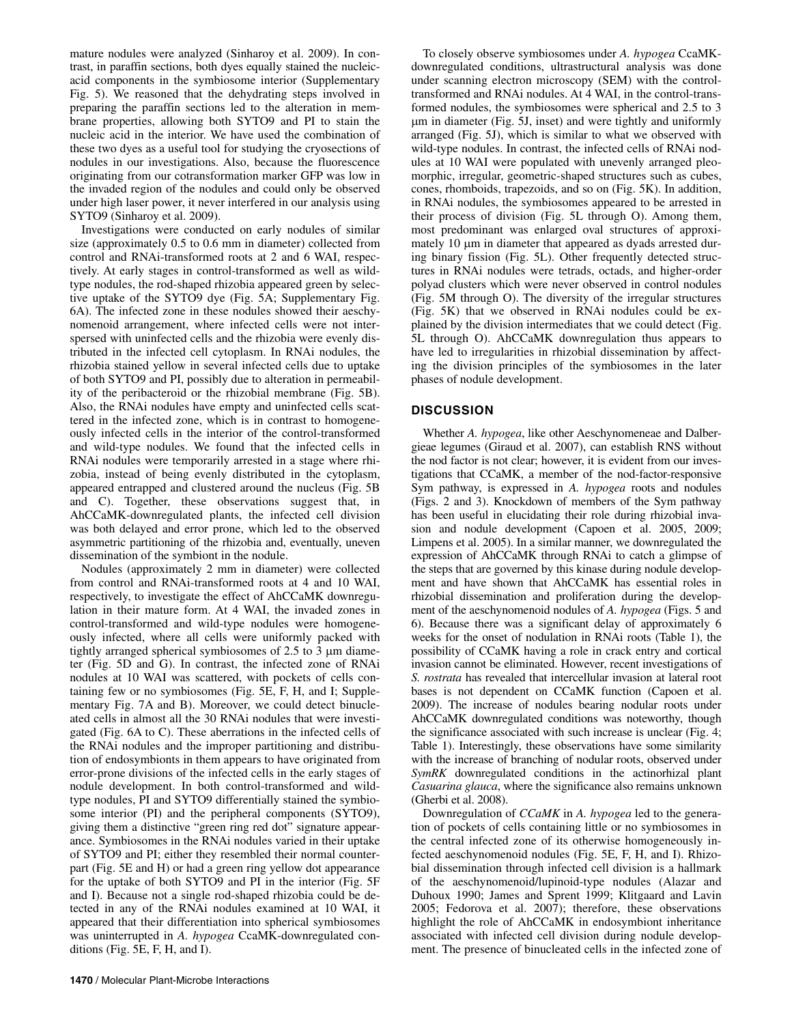mature nodules were analyzed (Sinharoy et al. 2009). In contrast, in paraffin sections, both dyes equally stained the nucleicacid components in the symbiosome interior (Supplementary Fig. 5). We reasoned that the dehydrating steps involved in preparing the paraffin sections led to the alteration in membrane properties, allowing both SYTO9 and PI to stain the nucleic acid in the interior. We have used the combination of these two dyes as a useful tool for studying the cryosections of nodules in our investigations. Also, because the fluorescence originating from our cotransformation marker GFP was low in the invaded region of the nodules and could only be observed under high laser power, it never interfered in our analysis using SYTO9 (Sinharoy et al. 2009).

Investigations were conducted on early nodules of similar size (approximately 0.5 to 0.6 mm in diameter) collected from control and RNAi-transformed roots at 2 and 6 WAI, respectively. At early stages in control-transformed as well as wildtype nodules, the rod-shaped rhizobia appeared green by selective uptake of the SYTO9 dye (Fig. 5A; Supplementary Fig. 6A). The infected zone in these nodules showed their aeschynomenoid arrangement, where infected cells were not interspersed with uninfected cells and the rhizobia were evenly distributed in the infected cell cytoplasm. In RNAi nodules, the rhizobia stained yellow in several infected cells due to uptake of both SYTO9 and PI, possibly due to alteration in permeability of the peribacteroid or the rhizobial membrane (Fig. 5B). Also, the RNAi nodules have empty and uninfected cells scattered in the infected zone, which is in contrast to homogeneously infected cells in the interior of the control-transformed and wild-type nodules. We found that the infected cells in RNAi nodules were temporarily arrested in a stage where rhizobia, instead of being evenly distributed in the cytoplasm, appeared entrapped and clustered around the nucleus (Fig. 5B and C). Together, these observations suggest that, in AhCCaMK-downregulated plants, the infected cell division was both delayed and error prone, which led to the observed asymmetric partitioning of the rhizobia and, eventually, uneven dissemination of the symbiont in the nodule.

Nodules (approximately 2 mm in diameter) were collected from control and RNAi-transformed roots at 4 and 10 WAI, respectively, to investigate the effect of AhCCaMK downregulation in their mature form. At 4 WAI, the invaded zones in control-transformed and wild-type nodules were homogeneously infected, where all cells were uniformly packed with tightly arranged spherical symbiosomes of 2.5 to 3 μm diameter (Fig. 5D and G). In contrast, the infected zone of RNAi nodules at 10 WAI was scattered, with pockets of cells containing few or no symbiosomes (Fig. 5E, F, H, and I; Supplementary Fig. 7A and B). Moreover, we could detect binucleated cells in almost all the 30 RNAi nodules that were investigated (Fig. 6A to C). These aberrations in the infected cells of the RNAi nodules and the improper partitioning and distribution of endosymbionts in them appears to have originated from error-prone divisions of the infected cells in the early stages of nodule development. In both control-transformed and wildtype nodules, PI and SYTO9 differentially stained the symbiosome interior (PI) and the peripheral components (SYTO9), giving them a distinctive "green ring red dot" signature appearance. Symbiosomes in the RNAi nodules varied in their uptake of SYTO9 and PI; either they resembled their normal counterpart (Fig. 5E and H) or had a green ring yellow dot appearance for the uptake of both SYTO9 and PI in the interior (Fig. 5F and I). Because not a single rod-shaped rhizobia could be detected in any of the RNAi nodules examined at 10 WAI, it appeared that their differentiation into spherical symbiosomes was uninterrupted in *A. hypogea* CcaMK-downregulated conditions (Fig. 5E, F, H, and I).

To closely observe symbiosomes under *A. hypogea* CcaMKdownregulated conditions, ultrastructural analysis was done under scanning electron microscopy (SEM) with the controltransformed and RNAi nodules. At 4 WAI, in the control-transformed nodules, the symbiosomes were spherical and 2.5 to 3 μm in diameter (Fig. 5J, inset) and were tightly and uniformly arranged (Fig. 5J), which is similar to what we observed with wild-type nodules. In contrast, the infected cells of RNAi nodules at 10 WAI were populated with unevenly arranged pleomorphic, irregular, geometric-shaped structures such as cubes, cones, rhomboids, trapezoids, and so on (Fig. 5K). In addition, in RNAi nodules, the symbiosomes appeared to be arrested in their process of division (Fig. 5L through O). Among them, most predominant was enlarged oval structures of approximately 10 μm in diameter that appeared as dyads arrested during binary fission (Fig. 5L). Other frequently detected structures in RNAi nodules were tetrads, octads, and higher-order polyad clusters which were never observed in control nodules (Fig. 5M through O). The diversity of the irregular structures (Fig. 5K) that we observed in RNAi nodules could be explained by the division intermediates that we could detect (Fig. 5L through O). AhCCaMK downregulation thus appears to have led to irregularities in rhizobial dissemination by affecting the division principles of the symbiosomes in the later phases of nodule development.

#### **DISCUSSION**

Whether *A. hypogea*, like other Aeschynomeneae and Dalbergieae legumes (Giraud et al. 2007), can establish RNS without the nod factor is not clear; however, it is evident from our investigations that CCaMK, a member of the nod-factor-responsive Sym pathway, is expressed in *A. hypogea* roots and nodules (Figs. 2 and 3). Knockdown of members of the Sym pathway has been useful in elucidating their role during rhizobial invasion and nodule development (Capoen et al. 2005, 2009; Limpens et al. 2005). In a similar manner, we downregulated the expression of AhCCaMK through RNAi to catch a glimpse of the steps that are governed by this kinase during nodule development and have shown that AhCCaMK has essential roles in rhizobial dissemination and proliferation during the development of the aeschynomenoid nodules of *A. hypogea* (Figs. 5 and 6). Because there was a significant delay of approximately 6 weeks for the onset of nodulation in RNAi roots (Table 1), the possibility of CCaMK having a role in crack entry and cortical invasion cannot be eliminated. However, recent investigations of *S. rostrata* has revealed that intercellular invasion at lateral root bases is not dependent on CCaMK function (Capoen et al. 2009). The increase of nodules bearing nodular roots under AhCCaMK downregulated conditions was noteworthy, though the significance associated with such increase is unclear (Fig. 4; Table 1). Interestingly, these observations have some similarity with the increase of branching of nodular roots, observed under *SymRK* downregulated conditions in the actinorhizal plant *Casuarina glauca*, where the significance also remains unknown (Gherbi et al. 2008).

Downregulation of *CCaMK* in *A. hypogea* led to the generation of pockets of cells containing little or no symbiosomes in the central infected zone of its otherwise homogeneously infected aeschynomenoid nodules (Fig. 5E, F, H, and I). Rhizobial dissemination through infected cell division is a hallmark of the aeschynomenoid/lupinoid-type nodules (Alazar and Duhoux 1990; James and Sprent 1999; Klitgaard and Lavin 2005; Fedorova et al. 2007); therefore, these observations highlight the role of AhCCaMK in endosymbiont inheritance associated with infected cell division during nodule development. The presence of binucleated cells in the infected zone of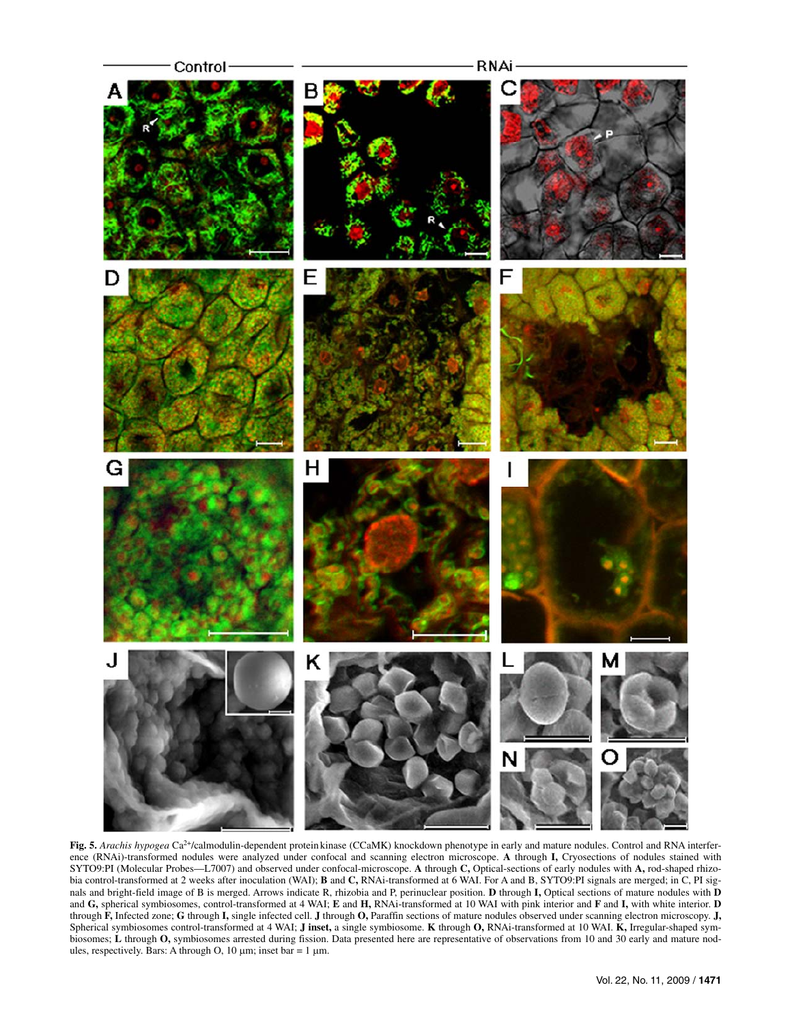

**Fig. 5.** *Arachis hypogea* Ca2+/calmodulin-dependent protein kinase (CCaMK) knockdown phenotype in early and mature nodules. Control and RNA interference (RNAi)-transformed nodules were analyzed under confocal and scanning electron microscope. **A** through **I,** Cryosections of nodules stained with SYTO9:PI (Molecular Probes—L7007) and observed under confocal-microscope. **A** through **C,** Optical-sections of early nodules with **A,** rod-shaped rhizobia control-transformed at 2 weeks after inoculation (WAI); **B** and **C**, RNAi-transformed at 6 WAI. For A and B, SYTO9:PI signals are merged; in C, PI signals and bright-field image of B is merged. Arrows indicate R, rhizobia and P, perinuclear position. **D** through **I,** Optical sections of mature nodules with **D**  and **G,** spherical symbiosomes, control-transformed at 4 WAI; **E** and **H,** RNAi-transformed at 10 WAI with pink interior and **F** and **I,** with white interior. **D** through **F,** Infected zone; **G** through **I,** single infected cell. **J** through **O,** Paraffin sections of mature nodules observed under scanning electron microscopy. **J,**  Spherical symbiosomes control-transformed at 4 WAI; **J inset,** a single symbiosome. **K** through **O,** RNAi-transformed at 10 WAI. **K,** Irregular-shaped symbiosomes; L through O, symbiosomes arrested during fission. Data presented here are representative of observations from 10 and 30 early and mature nodules, respectively. Bars: A through O, 10  $\mu$ m; inset bar = 1  $\mu$ m.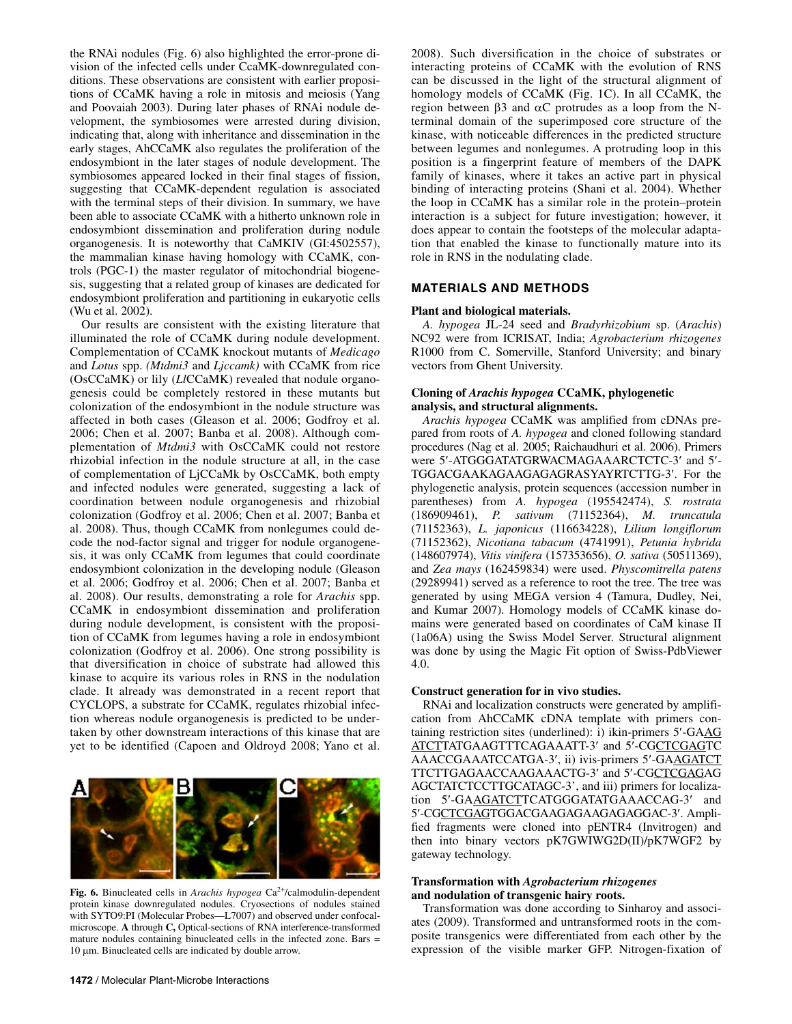the RNAi nodules (Fig. 6) also highlighted the error-prone division of the infected cells under CcaMK-downregulated conditions. These observations are consistent with earlier propositions of CCaMK having a role in mitosis and meiosis (Yang and Poovaiah 2003). During later phases of RNAi nodule development, the symbiosomes were arrested during division, indicating that, along with inheritance and dissemination in the early stages, AhCCaMK also regulates the proliferation of the endosymbiont in the later stages of nodule development. The symbiosomes appeared locked in their final stages of fission, suggesting that CCaMK-dependent regulation is associated with the terminal steps of their division. In summary, we have been able to associate CCaMK with a hitherto unknown role in endosymbiont dissemination and proliferation during nodule organogenesis. It is noteworthy that CaMKIV (GI:4502557), the mammalian kinase having homology with CCaMK, controls (PGC-1) the master regulator of mitochondrial biogenesis, suggesting that a related group of kinases are dedicated for endosymbiont proliferation and partitioning in eukaryotic cells (Wu et al. 2002).

Our results are consistent with the existing literature that illuminated the role of CCaMK during nodule development. Complementation of CCaMK knockout mutants of *Medicago*  and *Lotus* spp. *(Mtdmi3* and *Ljccamk)* with CCaMK from rice (OsCCaMK) or lily (*Ll*CCaMK) revealed that nodule organogenesis could be completely restored in these mutants but colonization of the endosymbiont in the nodule structure was affected in both cases (Gleason et al. 2006; Godfroy et al. 2006; Chen et al. 2007; Banba et al. 2008). Although complementation of *Mtdmi3* with OsCCaMK could not restore rhizobial infection in the nodule structure at all, in the case of complementation of LjCCaMk by OsCCaMK, both empty and infected nodules were generated, suggesting a lack of coordination between nodule organogenesis and rhizobial colonization (Godfroy et al. 2006; Chen et al. 2007; Banba et al. 2008). Thus, though CCaMK from nonlegumes could decode the nod-factor signal and trigger for nodule organogenesis, it was only CCaMK from legumes that could coordinate endosymbiont colonization in the developing nodule (Gleason et al. 2006; Godfroy et al. 2006; Chen et al. 2007; Banba et al. 2008). Our results, demonstrating a role for *Arachis* spp. CCaMK in endosymbiont dissemination and proliferation during nodule development, is consistent with the proposition of CCaMK from legumes having a role in endosymbiont colonization (Godfroy et al. 2006). One strong possibility is that diversification in choice of substrate had allowed this kinase to acquire its various roles in RNS in the nodulation clade. It already was demonstrated in a recent report that CYCLOPS, a substrate for CCaMK, regulates rhizobial infection whereas nodule organogenesis is predicted to be undertaken by other downstream interactions of this kinase that are yet to be identified (Capoen and Oldroyd 2008; Yano et al.



Fig. 6. Binucleated cells in *Arachis hypogea* Ca<sup>2+</sup>/calmodulin-dependent protein kinase downregulated nodules. Cryosections of nodules stained with SYTO9:PI (Molecular Probes—L7007) and observed under confocalmicroscope. **A** through **C,** Optical-sections of RNA interference-transformed mature nodules containing binucleated cells in the infected zone. Bars = 10 μm. Binucleated cells are indicated by double arrow.

2008). Such diversification in the choice of substrates or interacting proteins of CCaMK with the evolution of RNS can be discussed in the light of the structural alignment of homology models of CCaMK (Fig. 1C). In all CCaMK, the region between  $β3$  and  $αC$  protrudes as a loop from the Nterminal domain of the superimposed core structure of the kinase, with noticeable differences in the predicted structure between legumes and nonlegumes. A protruding loop in this position is a fingerprint feature of members of the DAPK family of kinases, where it takes an active part in physical binding of interacting proteins (Shani et al. 2004). Whether the loop in CCaMK has a similar role in the protein–protein interaction is a subject for future investigation; however, it does appear to contain the footsteps of the molecular adaptation that enabled the kinase to functionally mature into its role in RNS in the nodulating clade.

## **MATERIALS AND METHODS**

#### **Plant and biological materials.**

*A. hypogea* JL-24 seed and *Bradyrhizobium* sp. (*Arachis*) NC92 were from ICRISAT, India; *Agrobacterium rhizogenes*  R1000 from C. Somerville, Stanford University; and binary vectors from Ghent University.

#### **Cloning of** *Arachis hypogea* **CCaMK, phylogenetic analysis, and structural alignments.**

*Arachis hypogea* CCaMK was amplified from cDNAs prepared from roots of *A. hypogea* and cloned following standard procedures (Nag et al. 2005; Raichaudhuri et al. 2006). Primers were 5′-ATGGGATATGRWACMAGAAARCTCTC-3′ and 5′- TGGACGAAKAGAAGAGAGRASYAYRTCTTG-3′. For the phylogenetic analysis, protein sequences (accession number in parentheses) from *A. hypogea* (195542474), *S. rostrata*  (186909461), *P. sativum* (71152364), *M. truncatula*  (71152363), *L. japonicus* (116634228), *Lilium longiflorum*  (71152362), *Nicotiana tabacum* (4741991), *Petunia hybrida*  (148607974), *Vitis vinifera* (157353656), *O. sativa* (50511369), and *Zea mays* (162459834) were used. *Physcomitrella patens* (29289941) served as a reference to root the tree. The tree was generated by using MEGA version 4 (Tamura, Dudley, Nei, and Kumar 2007). Homology models of CCaMK kinase domains were generated based on coordinates of CaM kinase II (1a06A) using the Swiss Model Server. Structural alignment was done by using the Magic Fit option of Swiss-PdbViewer 4.0.

## **Construct generation for in vivo studies.**

RNAi and localization constructs were generated by amplification from AhCCaMK cDNA template with primers containing restriction sites (underlined): i) ikin-primers 5′-GAAG ATCTTATGAAGTTTCAGAAATT-3′ and 5′-CGCTCGAGTC AAACCGAAATCCATGA-3′, ii) ivis-primers 5′-GAAGATCT TTCTTGAGAACCAAGAAACTG-3′ and 5′-CGCTCGAGAG AGCTATCTCCTTGCATAGC-3', and iii) primers for localization 5′-GAAGATCTTCATGGGATATGAAACCAG-3′ and 5′-CGCTCGAGTGGACGAAGAGAAGAGAGGAC-3′. Amplified fragments were cloned into pENTR4 (Invitrogen) and then into binary vectors pK7GWIWG2D(II)/pK7WGF2 by gateway technology.

#### **Transformation with** *Agrobacterium rhizogenes* **and nodulation of transgenic hairy roots.**

Transformation was done according to Sinharoy and associates (2009). Transformed and untransformed roots in the composite transgenics were differentiated from each other by the expression of the visible marker GFP. Nitrogen-fixation of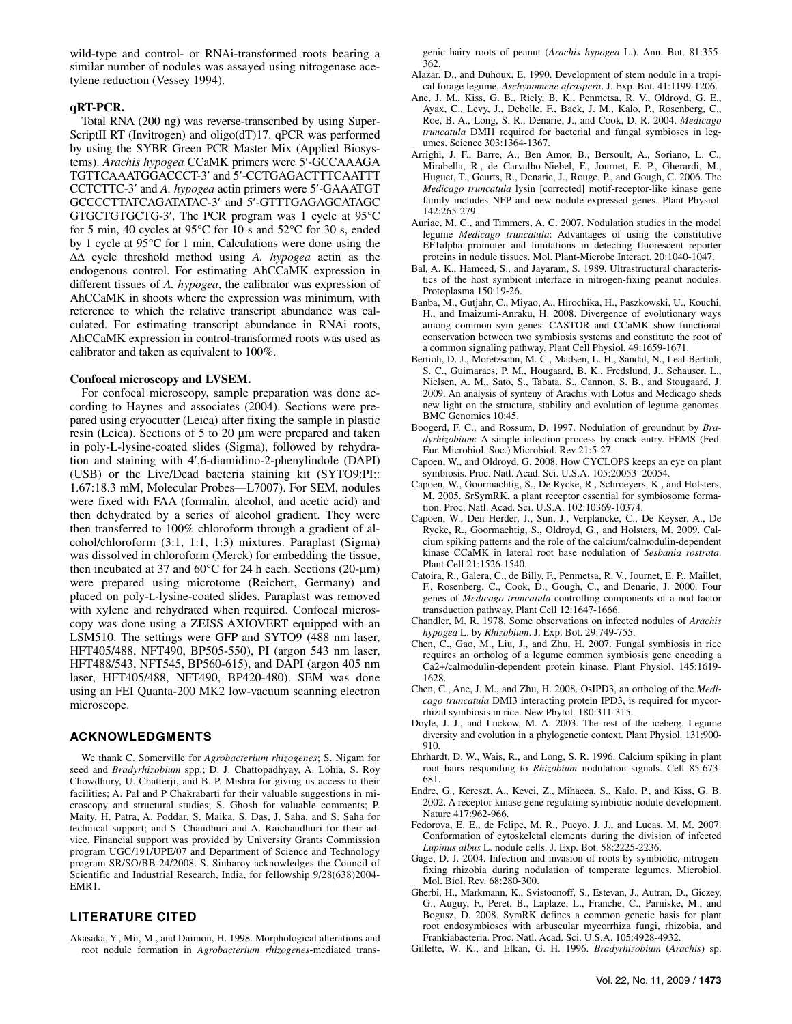wild-type and control- or RNAi-transformed roots bearing a similar number of nodules was assayed using nitrogenase acetylene reduction (Vessey 1994).

#### **qRT-PCR.**

Total RNA (200 ng) was reverse-transcribed by using Super-ScriptII RT (Invitrogen) and oligo(dT)17. qPCR was performed by using the SYBR Green PCR Master Mix (Applied Biosystems). *Arachis hypogea* CCaMK primers were 5′-GCCAAAGA TGTTCAAATGGACCCT-3′ and 5′-CCTGAGACTTTCAATTT CCTCTTC-3′ and *A. hypogea* actin primers were 5′-GAAATGT GCCCCTTATCAGATATAC-3′ and 5′-GTTTGAGAGCATAGC GTGCTGTGCTG-3′. The PCR program was 1 cycle at 95°C for 5 min, 40 cycles at 95°C for 10 s and 52°C for 30 s, ended by 1 cycle at 95°C for 1 min. Calculations were done using the ΔΔ cycle threshold method using *A. hypogea* actin as the endogenous control. For estimating AhCCaMK expression in different tissues of *A. hypogea*, the calibrator was expression of AhCCaMK in shoots where the expression was minimum, with reference to which the relative transcript abundance was calculated. For estimating transcript abundance in RNAi roots, AhCCaMK expression in control-transformed roots was used as calibrator and taken as equivalent to 100%.

#### **Confocal microscopy and LVSEM.**

For confocal microscopy, sample preparation was done according to Haynes and associates (2004). Sections were prepared using cryocutter (Leica) after fixing the sample in plastic resin (Leica). Sections of 5 to 20 μm were prepared and taken in poly-L-lysine-coated slides (Sigma), followed by rehydration and staining with 4′,6-diamidino-2-phenylindole (DAPI) (USB) or the Live/Dead bacteria staining kit (SYTO9:PI:: 1.67:18.3 mM, Molecular Probes—L7007). For SEM, nodules were fixed with FAA (formalin, alcohol, and acetic acid) and then dehydrated by a series of alcohol gradient. They were then transferred to 100% chloroform through a gradient of alcohol/chloroform (3:1, 1:1, 1:3) mixtures. Paraplast (Sigma) was dissolved in chloroform (Merck) for embedding the tissue, then incubated at 37 and 60 $°C$  for 24 h each. Sections (20-μm) were prepared using microtome (Reichert, Germany) and placed on poly-L-lysine-coated slides. Paraplast was removed with xylene and rehydrated when required. Confocal microscopy was done using a ZEISS AXIOVERT equipped with an LSM510. The settings were GFP and SYTO9 (488 nm laser, HFT405/488, NFT490, BP505-550), PI (argon 543 nm laser, HFT488/543, NFT545, BP560-615), and DAPI (argon 405 nm laser, HFT405/488, NFT490, BP420-480). SEM was done using an FEI Quanta-200 MK2 low-vacuum scanning electron microscope.

#### **ACKNOWLEDGMENTS**

We thank C. Somerville for *Agrobacterium rhizogenes*; S. Nigam for seed and *Bradyrhizobium* spp.; D. J. Chattopadhyay, A. Lohia, S. Roy Chowdhury, U. Chatterji, and B. P. Mishra for giving us access to their facilities; A. Pal and P Chakrabarti for their valuable suggestions in microscopy and structural studies; S. Ghosh for valuable comments; P. Maity, H. Patra, A. Poddar, S. Maika, S. Das, J. Saha, and S. Saha for technical support; and S. Chaudhuri and A. Raichaudhuri for their advice. Financial support was provided by University Grants Commission program UGC/191/UPE/07 and Department of Science and Technology program SR/SO/BB-24/2008. S. Sinharoy acknowledges the Council of Scientific and Industrial Research, India, for fellowship 9/28(638)2004- EMR1.

#### **LITERATURE CITED**

Akasaka, Y., Mii, M., and Daimon, H. 1998. Morphological alterations and root nodule formation in *Agrobacterium rhizogenes*-mediated transgenic hairy roots of peanut (*Arachis hypogea* L.). Ann. Bot. 81:355- 362.

- Alazar, D., and Duhoux, E. 1990. Development of stem nodule in a tropical forage legume, *Aschynomene afraspera*. J. Exp. Bot. 41:1199-1206.
- Ane, J. M., Kiss, G. B., Riely, B. K., Penmetsa, R. V., Oldroyd, G. E., Ayax, C., Levy, J., Debelle, F., Baek, J. M., Kalo, P., Rosenberg, C., Roe, B. A., Long, S. R., Denarie, J., and Cook, D. R. 2004. *Medicago truncatula* DMI1 required for bacterial and fungal symbioses in legumes. Science 303:1364-1367.
- Arrighi, J. F., Barre, A., Ben Amor, B., Bersoult, A., Soriano, L. C., Mirabella, R., de Carvalho-Niebel, F., Journet, E. P., Gherardi, M., Huguet, T., Geurts, R., Denarie, J., Rouge, P., and Gough, C. 2006. The *Medicago truncatula* lysin [corrected] motif-receptor-like kinase gene family includes NFP and new nodule-expressed genes. Plant Physiol. 142:265-279.
- Auriac, M. C., and Timmers, A. C. 2007. Nodulation studies in the model legume *Medicago truncatula*: Advantages of using the constitutive EF1alpha promoter and limitations in detecting fluorescent reporter proteins in nodule tissues. Mol. Plant-Microbe Interact. 20:1040-1047.
- Bal, A. K., Hameed, S., and Jayaram, S. 1989. Ultrastructural characteristics of the host symbiont interface in nitrogen-fixing peanut nodules. Protoplasma 150:19-26.
- Banba, M., Gutjahr, C., Miyao, A., Hirochika, H., Paszkowski, U., Kouchi, H., and Imaizumi-Anraku, H. 2008. Divergence of evolutionary ways among common sym genes: CASTOR and CCaMK show functional conservation between two symbiosis systems and constitute the root of a common signaling pathway. Plant Cell Physiol. 49:1659-1671.
- Bertioli, D. J., Moretzsohn, M. C., Madsen, L. H., Sandal, N., Leal-Bertioli, S. C., Guimaraes, P. M., Hougaard, B. K., Fredslund, J., Schauser, L., Nielsen, A. M., Sato, S., Tabata, S., Cannon, S. B., and Stougaard, J. 2009. An analysis of synteny of Arachis with Lotus and Medicago sheds new light on the structure, stability and evolution of legume genomes. BMC Genomics 10:45.
- Boogerd, F. C., and Rossum, D. 1997. Nodulation of groundnut by *Bradyrhizobium*: A simple infection process by crack entry. FEMS (Fed. Eur. Microbiol. Soc.) Microbiol. Rev 21:5-27.
- Capoen, W., and Oldroyd, G. 2008. How CYCLOPS keeps an eye on plant symbiosis. Proc. Natl. Acad. Sci. U.S.A. 105:20053–20054.
- Capoen, W., Goormachtig, S., De Rycke, R., Schroeyers, K., and Holsters, M. 2005. SrSymRK, a plant receptor essential for symbiosome formation. Proc. Natl. Acad. Sci. U.S.A. 102:10369-10374.
- Capoen, W., Den Herder, J., Sun, J., Verplancke, C., De Keyser, A., De Rycke, R., Goormachtig, S., Oldroyd, G., and Holsters, M. 2009. Calcium spiking patterns and the role of the calcium/calmodulin-dependent kinase CCaMK in lateral root base nodulation of *Sesbania rostrata*. Plant Cell 21:1526-1540.
- Catoira, R., Galera, C., de Billy, F., Penmetsa, R. V., Journet, E. P., Maillet, F., Rosenberg, C., Cook, D., Gough, C., and Denarie, J. 2000. Four genes of *Medicago truncatula* controlling components of a nod factor transduction pathway. Plant Cell 12:1647-1666.
- Chandler, M. R. 1978. Some observations on infected nodules of *Arachis hypogea* L. by *Rhizobium*. J. Exp. Bot. 29:749-755.
- Chen, C., Gao, M., Liu, J., and Zhu, H. 2007. Fungal symbiosis in rice requires an ortholog of a legume common symbiosis gene encoding a Ca2+/calmodulin-dependent protein kinase. Plant Physiol. 145:1619- 1628.
- Chen, C., Ane, J. M., and Zhu, H. 2008. OsIPD3, an ortholog of the *Medicago truncatula* DMI3 interacting protein IPD3, is required for mycorrhizal symbiosis in rice. New Phytol. 180:311-315.
- Doyle, J. J., and Luckow, M. A. 2003. The rest of the iceberg. Legume diversity and evolution in a phylogenetic context. Plant Physiol. 131:900- 910.
- Ehrhardt, D. W., Wais, R., and Long, S. R. 1996. Calcium spiking in plant root hairs responding to *Rhizobium* nodulation signals. Cell 85:673- 681.
- Endre, G., Kereszt, A., Kevei, Z., Mihacea, S., Kalo, P., and Kiss, G. B. 2002. A receptor kinase gene regulating symbiotic nodule development. Nature 417:962-966.
- Fedorova, E. E., de Felipe, M. R., Pueyo, J. J., and Lucas, M. M. 2007. Conformation of cytoskeletal elements during the division of infected *Lupinus albus* L. nodule cells. J. Exp. Bot. 58:2225-2236.
- Gage, D. J. 2004. Infection and invasion of roots by symbiotic, nitrogenfixing rhizobia during nodulation of temperate legumes. Microbiol. Mol. Biol. Rev. 68:280-300.
- Gherbi, H., Markmann, K., Svistoonoff, S., Estevan, J., Autran, D., Giczey, G., Auguy, F., Peret, B., Laplaze, L., Franche, C., Parniske, M., and Bogusz, D. 2008. SymRK defines a common genetic basis for plant root endosymbioses with arbuscular mycorrhiza fungi, rhizobia, and Frankiabacteria. Proc. Natl. Acad. Sci. U.S.A. 105:4928-4932.
- Gillette, W. K., and Elkan, G. H. 1996. *Bradyrhizobium* (*Arachis*) sp.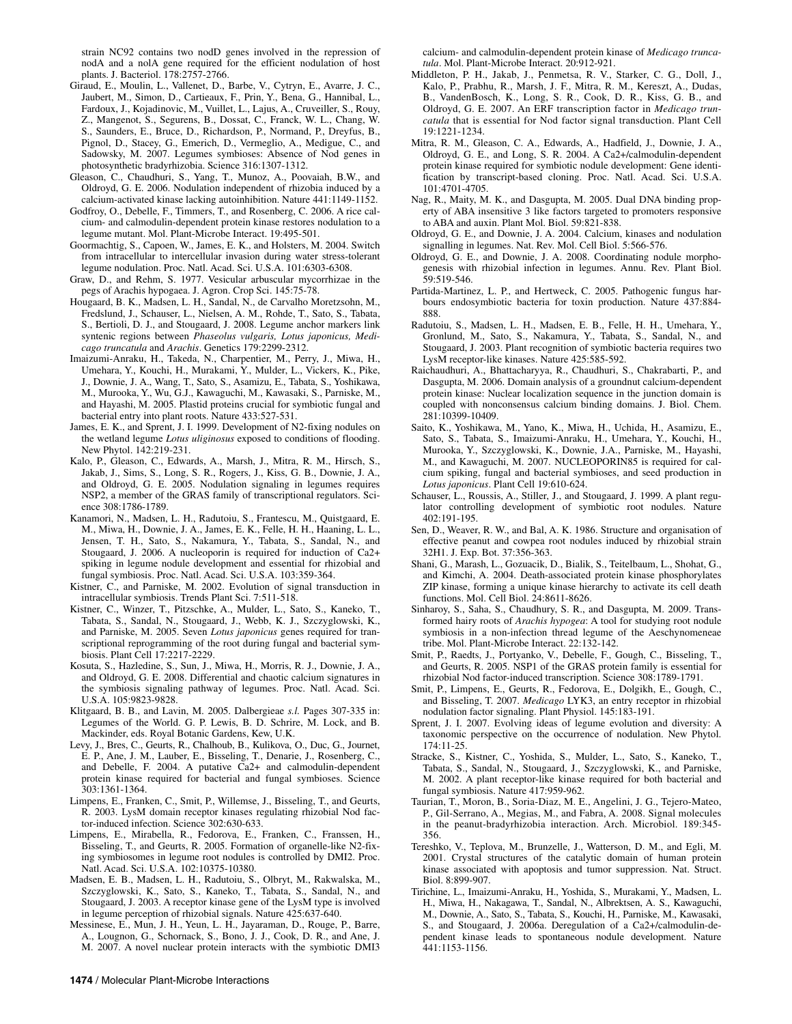strain NC92 contains two nodD genes involved in the repression of nodA and a nolA gene required for the efficient nodulation of host plants. J. Bacteriol. 178:2757-2766.

- Giraud, E., Moulin, L., Vallenet, D., Barbe, V., Cytryn, E., Avarre, J. C., Jaubert, M., Simon, D., Cartieaux, F., Prin, Y., Bena, G., Hannibal, L., Fardoux, J., Kojadinovic, M., Vuillet, L., Lajus, A., Cruveiller, S., Rouy, Z., Mangenot, S., Segurens, B., Dossat, C., Franck, W. L., Chang, W. S., Saunders, E., Bruce, D., Richardson, P., Normand, P., Dreyfus, B., Pignol, D., Stacey, G., Emerich, D., Vermeglio, A., Medigue, C., and Sadowsky, M. 2007. Legumes symbioses: Absence of Nod genes in photosynthetic bradyrhizobia. Science 316:1307-1312.
- Gleason, C., Chaudhuri, S., Yang, T., Munoz, A., Poovaiah, B.W., and Oldroyd, G. E. 2006. Nodulation independent of rhizobia induced by a calcium-activated kinase lacking autoinhibition. Nature 441:1149-1152.
- Godfroy, O., Debelle, F., Timmers, T., and Rosenberg, C. 2006. A rice calcium- and calmodulin-dependent protein kinase restores nodulation to a legume mutant. Mol. Plant-Microbe Interact. 19:495-501.
- Goormachtig, S., Capoen, W., James, E. K., and Holsters, M. 2004. Switch from intracellular to intercellular invasion during water stress-tolerant legume nodulation. Proc. Natl. Acad. Sci. U.S.A. 101:6303-6308.
- Graw, D., and Rehm, S. 1977. Vesicular arbuscular mycorrhizae in the pegs of Arachis hypogaea. J. Agron. Crop Sci. 145:75-78.
- Hougaard, B. K., Madsen, L. H., Sandal, N., de Carvalho Moretzsohn, M., Fredslund, J., Schauser, L., Nielsen, A. M., Rohde, T., Sato, S., Tabata, S., Bertioli, D. J., and Stougaard, J. 2008. Legume anchor markers link syntenic regions between *Phaseolus vulgaris, Lotus japonicus, Medicago truncatula* and *Arachis*. Genetics 179:2299-2312.
- Imaizumi-Anraku, H., Takeda, N., Charpentier, M., Perry, J., Miwa, H., Umehara, Y., Kouchi, H., Murakami, Y., Mulder, L., Vickers, K., Pike, J., Downie, J. A., Wang, T., Sato, S., Asamizu, E., Tabata, S., Yoshikawa, M., Murooka, Y., Wu, G.J., Kawaguchi, M., Kawasaki, S., Parniske, M., and Hayashi, M. 2005. Plastid proteins crucial for symbiotic fungal and bacterial entry into plant roots. Nature 433:527-531.
- James, E. K., and Sprent, J. I. 1999. Development of N2-fixing nodules on the wetland legume *Lotus uliginosus* exposed to conditions of flooding. New Phytol. 142:219-231.
- Kalo, P., Gleason, C., Edwards, A., Marsh, J., Mitra, R. M., Hirsch, S., Jakab, J., Sims, S., Long, S. R., Rogers, J., Kiss, G. B., Downie, J. A., and Oldroyd, G. E. 2005. Nodulation signaling in legumes requires NSP2, a member of the GRAS family of transcriptional regulators. Science 308:1786-1789.
- Kanamori, N., Madsen, L. H., Radutoiu, S., Frantescu, M., Quistgaard, E. M., Miwa, H., Downie, J. A., James, E. K., Felle, H. H., Haaning, L. L., Jensen, T. H., Sato, S., Nakamura, Y., Tabata, S., Sandal, N., and Stougaard, J. 2006. A nucleoporin is required for induction of Ca2+ spiking in legume nodule development and essential for rhizobial and fungal symbiosis. Proc. Natl. Acad. Sci. U.S.A. 103:359-364.
- Kistner, C., and Parniske, M. 2002. Evolution of signal transduction in intracellular symbiosis. Trends Plant Sci. 7:511-518.
- Kistner, C., Winzer, T., Pitzschke, A., Mulder, L., Sato, S., Kaneko, T., Tabata, S., Sandal, N., Stougaard, J., Webb, K. J., Szczyglowski, K., and Parniske, M. 2005. Seven *Lotus japonicus* genes required for transcriptional reprogramming of the root during fungal and bacterial symbiosis. Plant Cell 17:2217-2229.
- Kosuta, S., Hazledine, S., Sun, J., Miwa, H., Morris, R. J., Downie, J. A., and Oldroyd, G. E. 2008. Differential and chaotic calcium signatures in the symbiosis signaling pathway of legumes. Proc. Natl. Acad. Sci. U.S.A. 105:9823-9828.
- Klitgaard, B. B., and Lavin, M. 2005. Dalbergieae *s.l.* Pages 307-335 in: Legumes of the World. G. P. Lewis, B. D. Schrire, M. Lock, and B. Mackinder, eds. Royal Botanic Gardens, Kew, U.K.
- Levy, J., Bres, C., Geurts, R., Chalhoub, B., Kulikova, O., Duc, G., Journet, E. P., Ane, J. M., Lauber, E., Bisseling, T., Denarie, J., Rosenberg, C., and Debelle, F. 2004. A putative Ca2+ and calmodulin-dependent protein kinase required for bacterial and fungal symbioses. Science 303:1361-1364.
- Limpens, E., Franken, C., Smit, P., Willemse, J., Bisseling, T., and Geurts, R. 2003. LysM domain receptor kinases regulating rhizobial Nod factor-induced infection. Science 302:630-633.
- Limpens, E., Mirabella, R., Fedorova, E., Franken, C., Franssen, H., Bisseling, T., and Geurts, R. 2005. Formation of organelle-like N2-fixing symbiosomes in legume root nodules is controlled by DMI2. Proc. Natl. Acad. Sci. U.S.A. 102:10375-10380.
- Madsen, E. B., Madsen, L. H., Radutoiu, S., Olbryt, M., Rakwalska, M., Szczyglowski, K., Sato, S., Kaneko, T., Tabata, S., Sandal, N., and Stougaard, J. 2003. A receptor kinase gene of the LysM type is involved in legume perception of rhizobial signals. Nature 425:637-640.
- Messinese, E., Mun, J. H., Yeun, L. H., Jayaraman, D., Rouge, P., Barre, A., Lougnon, G., Schornack, S., Bono, J. J., Cook, D. R., and Ane, J. M. 2007. A novel nuclear protein interacts with the symbiotic DMI3

calcium- and calmodulin-dependent protein kinase of *Medicago truncatula*. Mol. Plant-Microbe Interact. 20:912-921.

- Middleton, P. H., Jakab, J., Penmetsa, R. V., Starker, C. G., Doll, J., Kalo, P., Prabhu, R., Marsh, J. F., Mitra, R. M., Kereszt, A., Dudas, B., VandenBosch, K., Long, S. R., Cook, D. R., Kiss, G. B., and Oldroyd, G. E. 2007. An ERF transcription factor in *Medicago truncatula* that is essential for Nod factor signal transduction. Plant Cell 19:1221-1234.
- Mitra, R. M., Gleason, C. A., Edwards, A., Hadfield, J., Downie, J. A., Oldroyd, G. E., and Long, S. R. 2004. A Ca2+/calmodulin-dependent protein kinase required for symbiotic nodule development: Gene identification by transcript-based cloning. Proc. Natl. Acad. Sci. U.S.A. 101:4701-4705.
- Nag, R., Maity, M. K., and Dasgupta, M. 2005. Dual DNA binding property of ABA insensitive 3 like factors targeted to promoters responsive to ABA and auxin. Plant Mol. Biol. 59:821-838.
- Oldroyd, G. E., and Downie, J. A. 2004. Calcium, kinases and nodulation signalling in legumes. Nat. Rev. Mol. Cell Biol. 5:566-576.
- Oldroyd, G. E., and Downie, J. A. 2008. Coordinating nodule morphogenesis with rhizobial infection in legumes. Annu. Rev. Plant Biol. 59:519-546.
- Partida-Martinez, L. P., and Hertweck, C. 2005. Pathogenic fungus harbours endosymbiotic bacteria for toxin production. Nature 437:884- 888.
- Radutoiu, S., Madsen, L. H., Madsen, E. B., Felle, H. H., Umehara, Y., Gronlund, M., Sato, S., Nakamura, Y., Tabata, S., Sandal, N., and Stougaard, J. 2003. Plant recognition of symbiotic bacteria requires two LysM receptor-like kinases. Nature 425:585-592.
- Raichaudhuri, A., Bhattacharyya, R., Chaudhuri, S., Chakrabarti, P., and Dasgupta, M. 2006. Domain analysis of a groundnut calcium-dependent protein kinase: Nuclear localization sequence in the junction domain is coupled with nonconsensus calcium binding domains. J. Biol. Chem. 281:10399-10409.
- Saito, K., Yoshikawa, M., Yano, K., Miwa, H., Uchida, H., Asamizu, E., Sato, S., Tabata, S., Imaizumi-Anraku, H., Umehara, Y., Kouchi, H., Murooka, Y., Szczyglowski, K., Downie, J.A., Parniske, M., Hayashi, M., and Kawaguchi, M. 2007. NUCLEOPORIN85 is required for calcium spiking, fungal and bacterial symbioses, and seed production in *Lotus japonicus*. Plant Cell 19:610-624.
- Schauser, L., Roussis, A., Stiller, J., and Stougaard, J. 1999. A plant regulator controlling development of symbiotic root nodules. Nature 402:191-195.
- Sen, D., Weaver, R. W., and Bal, A. K. 1986. Structure and organisation of effective peanut and cowpea root nodules induced by rhizobial strain 32H1. J. Exp. Bot. 37:356-363.
- Shani, G., Marash, L., Gozuacik, D., Bialik, S., Teitelbaum, L., Shohat, G., and Kimchi, A. 2004. Death-associated protein kinase phosphorylates ZIP kinase, forming a unique kinase hierarchy to activate its cell death functions. Mol. Cell Biol. 24:8611-8626.
- Sinharoy, S., Saha, S., Chaudhury, S. R., and Dasgupta, M. 2009. Transformed hairy roots of *Arachis hypogea*: A tool for studying root nodule symbiosis in a non-infection thread legume of the Aeschynomeneae tribe. Mol. Plant-Microbe Interact. 22:132-142.
- Smit, P., Raedts, J., Portyanko, V., Debelle, F., Gough, C., Bisseling, T., and Geurts, R. 2005. NSP1 of the GRAS protein family is essential for rhizobial Nod factor-induced transcription. Science 308:1789-1791.
- Smit, P., Limpens, E., Geurts, R., Fedorova, E., Dolgikh, E., Gough, C., and Bisseling, T. 2007. *Medicago* LYK3, an entry receptor in rhizobial nodulation factor signaling. Plant Physiol. 145:183-191.
- Sprent, J. I. 2007. Evolving ideas of legume evolution and diversity: A taxonomic perspective on the occurrence of nodulation. New Phytol. 174:11-25.
- Stracke, S., Kistner, C., Yoshida, S., Mulder, L., Sato, S., Kaneko, T., Tabata, S., Sandal, N., Stougaard, J., Szczyglowski, K., and Parniske, M. 2002. A plant receptor-like kinase required for both bacterial and fungal symbiosis. Nature 417:959-962.
- Taurian, T., Moron, B., Soria-Diaz, M. E., Angelini, J. G., Tejero-Mateo, P., Gil-Serrano, A., Megias, M., and Fabra, A. 2008. Signal molecules in the peanut-bradyrhizobia interaction. Arch. Microbiol. 189:345- 356.
- Tereshko, V., Teplova, M., Brunzelle, J., Watterson, D. M., and Egli, M. 2001. Crystal structures of the catalytic domain of human protein kinase associated with apoptosis and tumor suppression. Nat. Struct. Biol. 8:899-907.
- Tirichine, L., Imaizumi-Anraku, H., Yoshida, S., Murakami, Y., Madsen, L. H., Miwa, H., Nakagawa, T., Sandal, N., Albrektsen, A. S., Kawaguchi, M., Downie, A., Sato, S., Tabata, S., Kouchi, H., Parniske, M., Kawasaki, S., and Stougaard, J. 2006a. Deregulation of a Ca2+/calmodulin-dependent kinase leads to spontaneous nodule development. Nature 441:1153-1156.